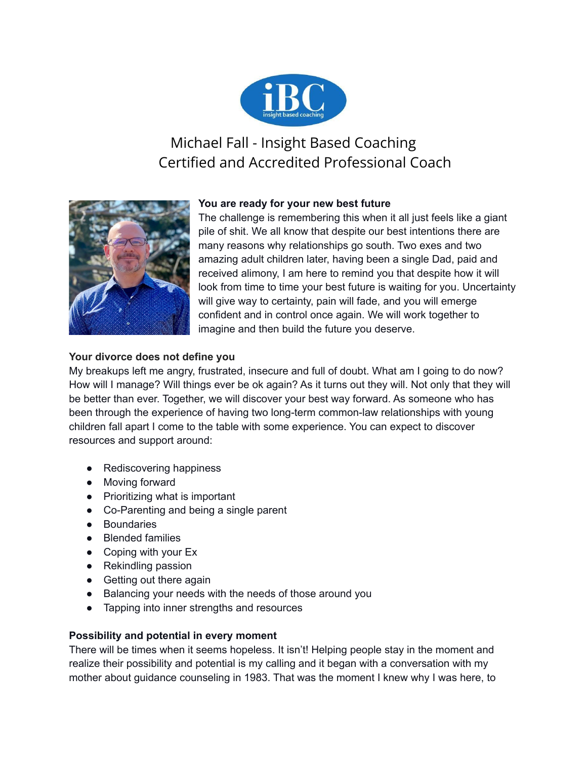

# Michael Fall - Insight Based Coaching Certified and Accredited Professional Coach



## **You are ready for your new best future**

The challenge is remembering this when it all just feels like a giant pile of shit. We all know that despite our best intentions there are many reasons why relationships go south. Two exes and two amazing adult children later, having been a single Dad, paid and received alimony, I am here to remind you that despite how it will look from time to time your best future is waiting for you. Uncertainty will give way to certainty, pain will fade, and you will emerge confident and in control once again. We will work together to imagine and then build the future you deserve.

## **Your divorce does not define you**

My breakups left me angry, frustrated, insecure and full of doubt. What am I going to do now? How will I manage? Will things ever be ok again? As it turns out they will. Not only that they will be better than ever. Together, we will discover your best way forward. As someone who has been through the experience of having two long-term common-law relationships with young children fall apart I come to the table with some experience. You can expect to discover resources and support around:

- Rediscovering happiness
- Moving forward
- Prioritizing what is important
- Co-Parenting and being a single parent
- Boundaries
- Blended families
- Coping with your Ex
- Rekindling passion
- Getting out there again
- Balancing your needs with the needs of those around you
- Tapping into inner strengths and resources

### **Possibility and potential in every moment**

There will be times when it seems hopeless. It isn't! Helping people stay in the moment and realize their possibility and potential is my calling and it began with a conversation with my mother about guidance counseling in 1983. That was the moment I knew why I was here, to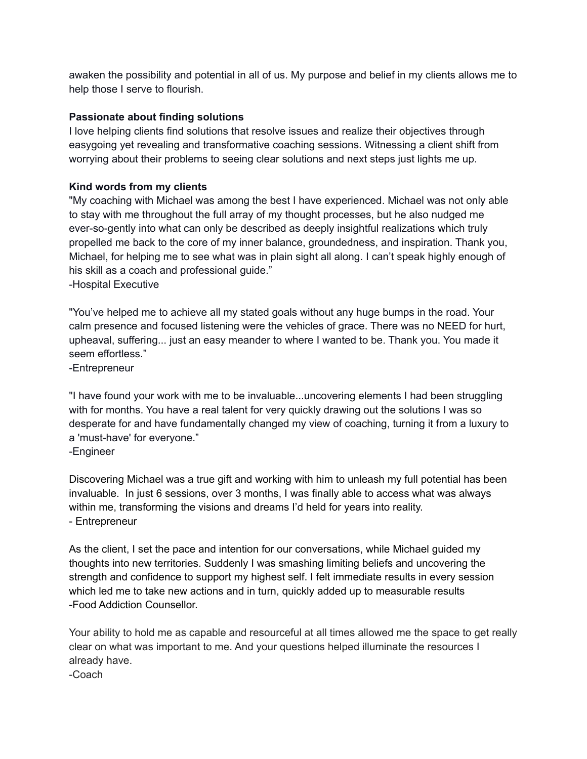awaken the possibility and potential in all of us. My purpose and belief in my clients allows me to help those I serve to flourish.

#### **Passionate about finding solutions**

I love helping clients find solutions that resolve issues and realize their objectives through easygoing yet revealing and transformative coaching sessions. Witnessing a client shift from worrying about their problems to seeing clear solutions and next steps just lights me up.

#### **Kind words from my clients**

"My coaching with Michael was among the best I have experienced. Michael was not only able to stay with me throughout the full array of my thought processes, but he also nudged me ever-so-gently into what can only be described as deeply insightful realizations which truly propelled me back to the core of my inner balance, groundedness, and inspiration. Thank you, Michael, for helping me to see what was in plain sight all along. I can't speak highly enough of his skill as a coach and professional guide."

-Hospital Executive

"You've helped me to achieve all my stated goals without any huge bumps in the road. Your calm presence and focused listening were the vehicles of grace. There was no NEED for hurt, upheaval, suffering... just an easy meander to where I wanted to be. Thank you. You made it seem effortless."

-Entrepreneur

"I have found your work with me to be invaluable...uncovering elements I had been struggling with for months. You have a real talent for very quickly drawing out the solutions I was so desperate for and have fundamentally changed my view of coaching, turning it from a luxury to a 'must-have' for everyone." -Engineer

Discovering Michael was a true gift and working with him to unleash my full potential has been invaluable. In just 6 sessions, over 3 months, I was finally able to access what was always within me, transforming the visions and dreams I'd held for years into reality. - Entrepreneur

As the client, I set the pace and intention for our conversations, while Michael guided my thoughts into new territories. Suddenly I was smashing limiting beliefs and uncovering the strength and confidence to support my highest self. I felt immediate results in every session which led me to take new actions and in turn, quickly added up to measurable results -Food Addiction Counsellor.

Your ability to hold me as capable and resourceful at all times allowed me the space to get really clear on what was important to me. And your questions helped illuminate the resources I already have.

-Coach